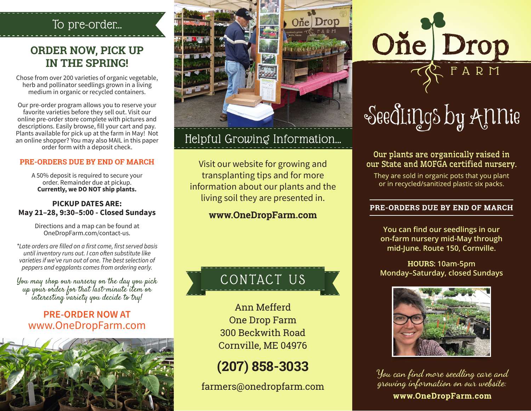## To pre-order...

## **ORDER NOW, PICK UP IN THE SPRING!**

Chose from over 200 varieties of organic vegetable, herb and pollinator seedlings grown in a living medium in organic or recycled containers.

Our pre-order program allows you to reserve your favorite varieties before they sell out. Visit our online pre-order store complete with pictures and descriptions. Easily browse, fill your cart and pay. Plants available for pick up at the farm in May! Not an online shopper? You may also MAIL in this paper order form with a deposit check.

#### **PRE-ORDERS DUE BY END OF MARCH**

A 50% deposit is required to secure your order. Remainder due at pickup. **Currently, we DO NOT ship plants.**

#### **PICKUP DATES ARE: May 21–28, 9:30–5:00 - Closed Sundays**

Directions and a map can be found at OneDropFarm.com/contact-us.

\*Late orders are filled on a first come, first served basis until inventory runs out. I can often substitute like varieties if we've run out of one. The best selection of peppers and eggplants comes from ordering early.

You may shop our nursery on the day you pick up your order for that last-minute item or interesting variety you decide to try!

#### **PRE-ORDER NOW AT** www.OneDropFarm.com





# Helpful Growing Information...

Visit our website for growing and transplanting tips and for more information about our plants and the living soil they are presented in.

#### **www.OneDropFarm.com**

# CONTACT

Ann Mefferd One Drop Farm 300 Beckwith Road Cornville, ME 04976

**(207) 858-3033**

farmers@onedropfarm.com



#### Our plants are organically raised in our State and MOFGA certified nursery.

They are sold in organic pots that you plant or in recycled/sanitized plastic six packs.

#### PRE-ORDERS DUE BY END OF MARCH

**You can find our seedlings in our on-farm nursery mid-May through mid-June. Route 150, Cornville.**

**HOURS: 10am-5pm Monday–Saturday, closed Sundays**



You can find more seedling care and growing information on our website: www.OneDropFarm.com